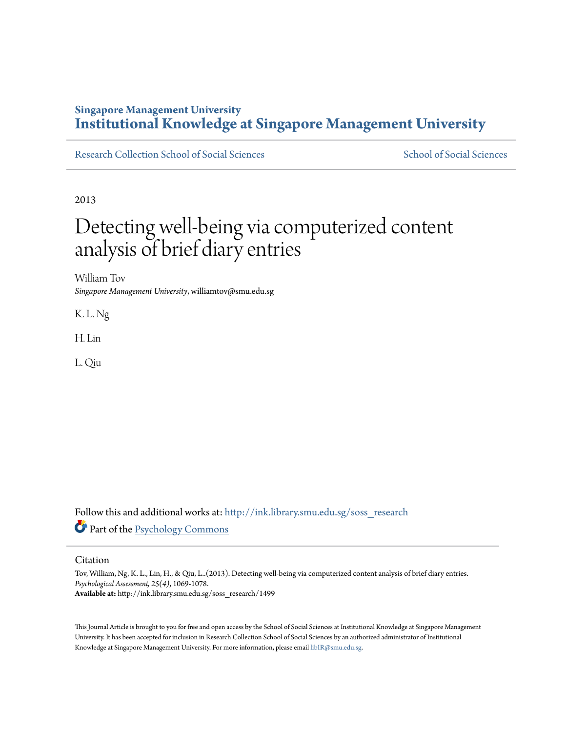# **Singapore Management University [Institutional Knowledge at Singapore Management University](http://ink.library.smu.edu.sg?utm_source=ink.library.smu.edu.sg%2Fsoss_research%2F1499&utm_medium=PDF&utm_campaign=PDFCoverPages)**

[Research Collection School of Social Sciences](http://ink.library.smu.edu.sg/soss_research?utm_source=ink.library.smu.edu.sg%2Fsoss_research%2F1499&utm_medium=PDF&utm_campaign=PDFCoverPages) [School of Social Sciences](http://ink.library.smu.edu.sg/soss?utm_source=ink.library.smu.edu.sg%2Fsoss_research%2F1499&utm_medium=PDF&utm_campaign=PDFCoverPages)

2013

# Detecting well-being via computerized content analysis of brief diary entries

William Tov *Singapore Management University*, williamtov@smu.edu.sg

K. L. Ng

H. Lin

L. Qiu

Follow this and additional works at: [http://ink.library.smu.edu.sg/soss\\_research](http://ink.library.smu.edu.sg/soss_research?utm_source=ink.library.smu.edu.sg%2Fsoss_research%2F1499&utm_medium=PDF&utm_campaign=PDFCoverPages) Part of the [Psychology Commons](http://network.bepress.com/hgg/discipline/404?utm_source=ink.library.smu.edu.sg%2Fsoss_research%2F1499&utm_medium=PDF&utm_campaign=PDFCoverPages)

Citation

Tov, William, Ng, K. L., Lin, H., & Qiu, L..(2013). Detecting well-being via computerized content analysis of brief diary entries. *Psychological Assessment, 25(4)*, 1069-1078. **Available at:** http://ink.library.smu.edu.sg/soss\_research/1499

This Journal Article is brought to you for free and open access by the School of Social Sciences at Institutional Knowledge at Singapore Management University. It has been accepted for inclusion in Research Collection School of Social Sciences by an authorized administrator of Institutional Knowledge at Singapore Management University. For more information, please email [libIR@smu.edu.sg](mailto:libIR@smu.edu.sg).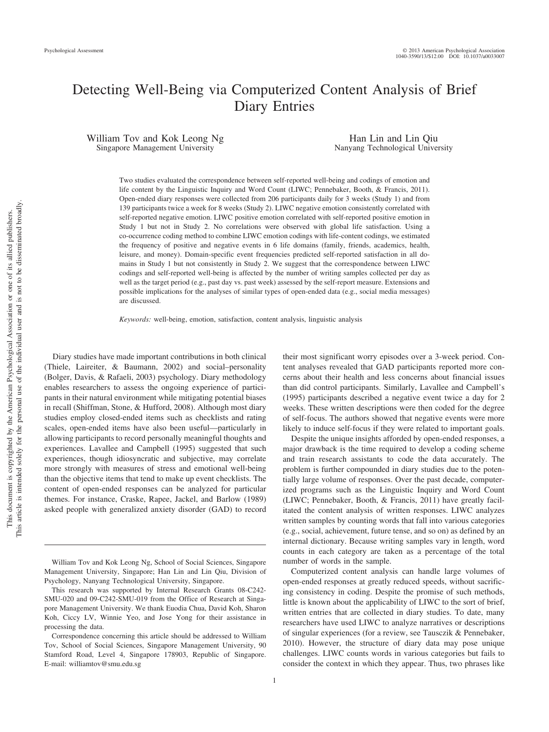# Detecting Well-Being via Computerized Content Analysis of Brief Diary Entries

William Tov and Kok Leong Ng Singapore Management University

Han Lin and Lin Qiu Nanyang Technological University

Two studies evaluated the correspondence between self-reported well-being and codings of emotion and life content by the Linguistic Inquiry and Word Count (LIWC; Pennebaker, Booth, & Francis, 2011). Open-ended diary responses were collected from 206 participants daily for 3 weeks (Study 1) and from 139 participants twice a week for 8 weeks (Study 2). LIWC negative emotion consistently correlated with self-reported negative emotion. LIWC positive emotion correlated with self-reported positive emotion in Study 1 but not in Study 2. No correlations were observed with global life satisfaction. Using a co-occurrence coding method to combine LIWC emotion codings with life-content codings, we estimated the frequency of positive and negative events in 6 life domains (family, friends, academics, health, leisure, and money). Domain-specific event frequencies predicted self-reported satisfaction in all domains in Study 1 but not consistently in Study 2. We suggest that the correspondence between LIWC codings and self-reported well-being is affected by the number of writing samples collected per day as well as the target period (e.g., past day vs. past week) assessed by the self-report measure. Extensions and possible implications for the analyses of similar types of open-ended data (e.g., social media messages) are discussed.

*Keywords:* well-being, emotion, satisfaction, content analysis, linguistic analysis

Diary studies have made important contributions in both clinical (Thiele, Laireiter, & Baumann, 2002) and social–personality (Bolger, Davis, & Rafaeli, 2003) psychology. Diary methodology enables researchers to assess the ongoing experience of participants in their natural environment while mitigating potential biases in recall (Shiffman, Stone, & Hufford, 2008). Although most diary studies employ closed-ended items such as checklists and rating scales, open-ended items have also been useful—particularly in allowing participants to record personally meaningful thoughts and experiences. Lavallee and Campbell (1995) suggested that such experiences, though idiosyncratic and subjective, may correlate more strongly with measures of stress and emotional well-being than the objective items that tend to make up event checklists. The content of open-ended responses can be analyzed for particular themes. For instance, Craske, Rapee, Jackel, and Barlow (1989) asked people with generalized anxiety disorder (GAD) to record

1

their most significant worry episodes over a 3-week period. Content analyses revealed that GAD participants reported more concerns about their health and less concerns about financial issues than did control participants. Similarly, Lavallee and Campbell's (1995) participants described a negative event twice a day for 2 weeks. These written descriptions were then coded for the degree of self-focus. The authors showed that negative events were more likely to induce self-focus if they were related to important goals.

Despite the unique insights afforded by open-ended responses, a major drawback is the time required to develop a coding scheme and train research assistants to code the data accurately. The problem is further compounded in diary studies due to the potentially large volume of responses. Over the past decade, computerized programs such as the Linguistic Inquiry and Word Count (LIWC; Pennebaker, Booth, & Francis, 2011) have greatly facilitated the content analysis of written responses. LIWC analyzes written samples by counting words that fall into various categories (e.g., social, achievement, future tense, and so on) as defined by an internal dictionary. Because writing samples vary in length, word counts in each category are taken as a percentage of the total number of words in the sample.

Computerized content analysis can handle large volumes of open-ended responses at greatly reduced speeds, without sacrificing consistency in coding. Despite the promise of such methods, little is known about the applicability of LIWC to the sort of brief, written entries that are collected in diary studies. To date, many researchers have used LIWC to analyze narratives or descriptions of singular experiences (for a review, see Tausczik & Pennebaker, 2010). However, the structure of diary data may pose unique challenges. LIWC counts words in various categories but fails to consider the context in which they appear. Thus, two phrases like

William Tov and Kok Leong Ng, School of Social Sciences, Singapore Management University, Singapore; Han Lin and Lin Qiu, Division of Psychology, Nanyang Technological University, Singapore.

This research was supported by Internal Research Grants 08-C242- SMU-020 and 09-C242-SMU-019 from the Office of Research at Singapore Management University. We thank Euodia Chua, David Koh, Sharon Koh, Ciccy LV, Winnie Yeo, and Jose Yong for their assistance in processing the data.

Correspondence concerning this article should be addressed to William Tov, School of Social Sciences, Singapore Management University, 90 Stamford Road, Level 4, Singapore 178903, Republic of Singapore. E-mail: williamtov@smu.edu.sg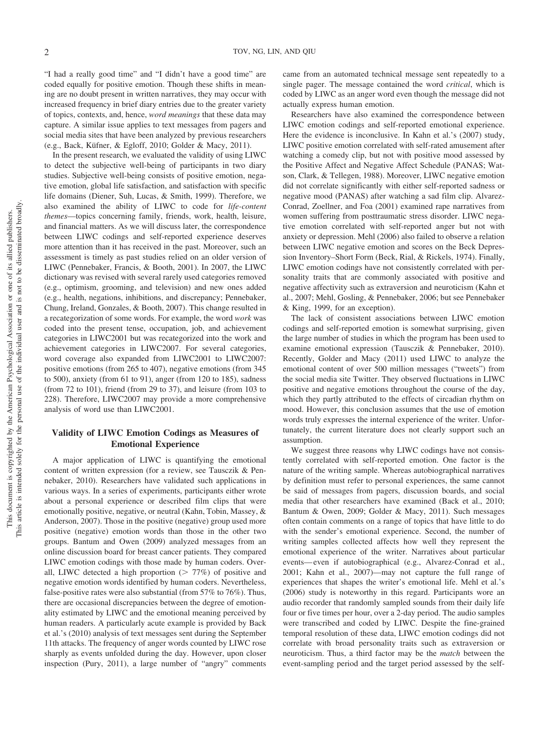"I had a really good time" and "I didn't have a good time" are coded equally for positive emotion. Though these shifts in meaning are no doubt present in written narratives, they may occur with increased frequency in brief diary entries due to the greater variety of topics, contexts, and, hence, *word meanings* that these data may capture. A similar issue applies to text messages from pagers and social media sites that have been analyzed by previous researchers (e.g., Back, Küfner, & Egloff, 2010; Golder & Macy, 2011).

In the present research, we evaluated the validity of using LIWC to detect the subjective well-being of participants in two diary studies. Subjective well-being consists of positive emotion, negative emotion, global life satisfaction, and satisfaction with specific life domains (Diener, Suh, Lucas, & Smith, 1999). Therefore, we also examined the ability of LIWC to code for *life-content themes*—topics concerning family, friends, work, health, leisure, and financial matters. As we will discuss later, the correspondence between LIWC codings and self-reported experience deserves more attention than it has received in the past. Moreover, such an assessment is timely as past studies relied on an older version of LIWC (Pennebaker, Francis, & Booth, 2001). In 2007, the LIWC dictionary was revised with several rarely used categories removed (e.g., optimism, grooming, and television) and new ones added (e.g., health, negations, inhibitions, and discrepancy; Pennebaker, Chung, Ireland, Gonzales, & Booth, 2007). This change resulted in a recategorization of some words. For example, the word *work* was coded into the present tense, occupation, job, and achievement categories in LIWC2001 but was recategorized into the work and achievement categories in LIWC2007. For several categories, word coverage also expanded from LIWC2001 to LIWC2007: positive emotions (from 265 to 407), negative emotions (from 345 to 500), anxiety (from 61 to 91), anger (from 120 to 185), sadness (from 72 to 101), friend (from 29 to 37), and leisure (from 103 to 228). Therefore, LIWC2007 may provide a more comprehensive analysis of word use than LIWC2001.

# **Validity of LIWC Emotion Codings as Measures of Emotional Experience**

A major application of LIWC is quantifying the emotional content of written expression (for a review, see Tausczik & Pennebaker, 2010). Researchers have validated such applications in various ways. In a series of experiments, participants either wrote about a personal experience or described film clips that were emotionally positive, negative, or neutral (Kahn, Tobin, Massey, & Anderson, 2007). Those in the positive (negative) group used more positive (negative) emotion words than those in the other two groups. Bantum and Owen (2009) analyzed messages from an online discussion board for breast cancer patients. They compared LIWC emotion codings with those made by human coders. Overall, LIWC detected a high proportion  $($   $> 77\%)$  of positive and negative emotion words identified by human coders. Nevertheless, false-positive rates were also substantial (from 57% to 76%). Thus, there are occasional discrepancies between the degree of emotionality estimated by LIWC and the emotional meaning perceived by human readers. A particularly acute example is provided by Back et al.'s (2010) analysis of text messages sent during the September 11th attacks. The frequency of anger words counted by LIWC rose sharply as events unfolded during the day. However, upon closer inspection (Pury, 2011), a large number of "angry" comments

came from an automated technical message sent repeatedly to a single pager. The message contained the word *critical*, which is coded by LIWC as an anger word even though the message did not actually express human emotion.

Researchers have also examined the correspondence between LIWC emotion codings and self-reported emotional experience. Here the evidence is inconclusive. In Kahn et al.'s (2007) study, LIWC positive emotion correlated with self-rated amusement after watching a comedy clip, but not with positive mood assessed by the Positive Affect and Negative Affect Schedule (PANAS; Watson, Clark, & Tellegen, 1988). Moreover, LIWC negative emotion did not correlate significantly with either self-reported sadness or negative mood (PANAS) after watching a sad film clip. Alvarez-Conrad, Zoellner, and Foa (2001) examined rape narratives from women suffering from posttraumatic stress disorder. LIWC negative emotion correlated with self-reported anger but not with anxiety or depression. Mehl (2006) also failed to observe a relation between LIWC negative emotion and scores on the Beck Depression Inventory–Short Form (Beck, Rial, & Rickels, 1974). Finally, LIWC emotion codings have not consistently correlated with personality traits that are commonly associated with positive and negative affectivity such as extraversion and neuroticism (Kahn et al., 2007; Mehl, Gosling, & Pennebaker, 2006; but see Pennebaker & King, 1999, for an exception).

The lack of consistent associations between LIWC emotion codings and self-reported emotion is somewhat surprising, given the large number of studies in which the program has been used to examine emotional expression (Tausczik & Pennebaker, 2010). Recently, Golder and Macy (2011) used LIWC to analyze the emotional content of over 500 million messages ("tweets") from the social media site Twitter. They observed fluctuations in LIWC positive and negative emotions throughout the course of the day, which they partly attributed to the effects of circadian rhythm on mood. However, this conclusion assumes that the use of emotion words truly expresses the internal experience of the writer. Unfortunately, the current literature does not clearly support such an assumption.

We suggest three reasons why LIWC codings have not consistently correlated with self-reported emotion. One factor is the nature of the writing sample. Whereas autobiographical narratives by definition must refer to personal experiences, the same cannot be said of messages from pagers, discussion boards, and social media that other researchers have examined (Back et al., 2010; Bantum & Owen, 2009; Golder & Macy, 2011). Such messages often contain comments on a range of topics that have little to do with the sender's emotional experience. Second, the number of writing samples collected affects how well they represent the emotional experience of the writer. Narratives about particular events— even if autobiographical (e.g., Alvarez-Conrad et al., 2001; Kahn et al., 2007)—may not capture the full range of experiences that shapes the writer's emotional life. Mehl et al.'s (2006) study is noteworthy in this regard. Participants wore an audio recorder that randomly sampled sounds from their daily life four or five times per hour, over a 2-day period. The audio samples were transcribed and coded by LIWC. Despite the fine-grained temporal resolution of these data, LIWC emotion codings did not correlate with broad personality traits such as extraversion or neuroticism. Thus, a third factor may be the *match* between the event-sampling period and the target period assessed by the self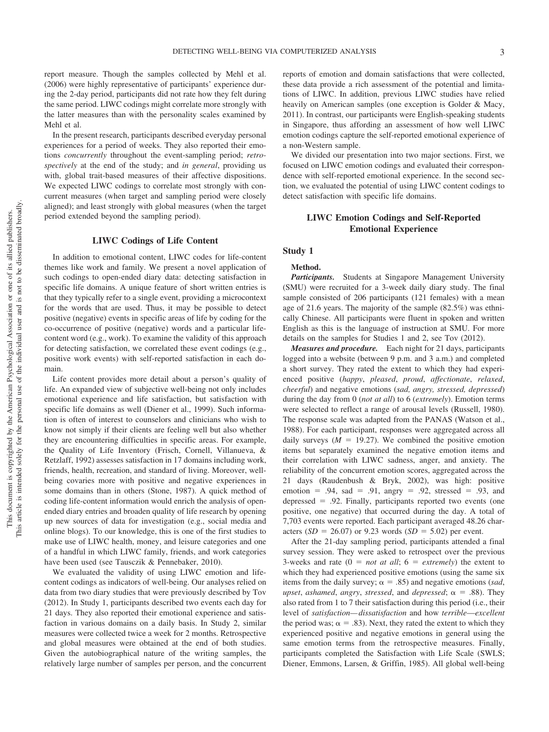report measure. Though the samples collected by Mehl et al. (2006) were highly representative of participants' experience during the 2-day period, participants did not rate how they felt during the same period. LIWC codings might correlate more strongly with the latter measures than with the personality scales examined by Mehl et al.

In the present research, participants described everyday personal experiences for a period of weeks. They also reported their emotions *concurrently* throughout the event-sampling period; *retrospectively* at the end of the study; and *in general*, providing us with, global trait-based measures of their affective dispositions. We expected LIWC codings to correlate most strongly with concurrent measures (when target and sampling period were closely aligned); and least strongly with global measures (when the target period extended beyond the sampling period).

#### **LIWC Codings of Life Content**

In addition to emotional content, LIWC codes for life-content themes like work and family. We present a novel application of such codings to open-ended diary data: detecting satisfaction in specific life domains. A unique feature of short written entries is that they typically refer to a single event, providing a microcontext for the words that are used. Thus, it may be possible to detect positive (negative) events in specific areas of life by coding for the co-occurrence of positive (negative) words and a particular lifecontent word (e.g., work). To examine the validity of this approach for detecting satisfaction, we correlated these event codings (e.g., positive work events) with self-reported satisfaction in each domain.

Life content provides more detail about a person's quality of life. An expanded view of subjective well-being not only includes emotional experience and life satisfaction, but satisfaction with specific life domains as well (Diener et al., 1999). Such information is often of interest to counselors and clinicians who wish to know not simply if their clients are feeling well but also whether they are encountering difficulties in specific areas. For example, the Quality of Life Inventory (Frisch, Cornell, Villanueva, & Retzlaff, 1992) assesses satisfaction in 17 domains including work, friends, health, recreation, and standard of living. Moreover, wellbeing covaries more with positive and negative experiences in some domains than in others (Stone, 1987). A quick method of coding life-content information would enrich the analysis of openended diary entries and broaden quality of life research by opening up new sources of data for investigation (e.g., social media and online blogs). To our knowledge, this is one of the first studies to make use of LIWC health, money, and leisure categories and one of a handful in which LIWC family, friends, and work categories have been used (see Tausczik & Pennebaker, 2010).

We evaluated the validity of using LIWC emotion and lifecontent codings as indicators of well-being. Our analyses relied on data from two diary studies that were previously described by Tov (2012). In Study 1, participants described two events each day for 21 days. They also reported their emotional experience and satisfaction in various domains on a daily basis. In Study 2, similar measures were collected twice a week for 2 months. Retrospective and global measures were obtained at the end of both studies. Given the autobiographical nature of the writing samples, the relatively large number of samples per person, and the concurrent reports of emotion and domain satisfactions that were collected, these data provide a rich assessment of the potential and limitations of LIWC. In addition, previous LIWC studies have relied heavily on American samples (one exception is Golder & Macy, 2011). In contrast, our participants were English-speaking students in Singapore, thus affording an assessment of how well LIWC emotion codings capture the self-reported emotional experience of a non-Western sample.

We divided our presentation into two major sections. First, we focused on LIWC emotion codings and evaluated their correspondence with self-reported emotional experience. In the second section, we evaluated the potential of using LIWC content codings to detect satisfaction with specific life domains.

# **LIWC Emotion Codings and Self-Reported Emotional Experience**

## **Study 1**

#### **Method.**

*Participants.* Students at Singapore Management University (SMU) were recruited for a 3-week daily diary study. The final sample consisted of 206 participants (121 females) with a mean age of 21.6 years. The majority of the sample (82.5%) was ethnically Chinese. All participants were fluent in spoken and written English as this is the language of instruction at SMU. For more details on the samples for Studies 1 and 2, see Tov (2012).

*Measures and procedure.* Each night for 21 days, participants logged into a website (between 9 p.m. and 3 a.m.) and completed a short survey. They rated the extent to which they had experienced positive (*happy*, *pleased*, *proud*, *affectionate*, *relaxed*, *cheerful*) and negative emotions (*sad, angry, stressed, depressed*) during the day from 0 (*not at all*) to 6 (*extremely*). Emotion terms were selected to reflect a range of arousal levels (Russell, 1980). The response scale was adapted from the PANAS (Watson et al., 1988). For each participant, responses were aggregated across all daily surveys  $(M = 19.27)$ . We combined the positive emotion items but separately examined the negative emotion items and their correlation with LIWC sadness, anger, and anxiety. The reliability of the concurrent emotion scores, aggregated across the 21 days (Raudenbush & Bryk, 2002), was high: positive emotion =  $.94$ , sad =  $.91$ , angry =  $.92$ , stressed =  $.93$ , and depressed  $=$  .92. Finally, participants reported two events (one positive, one negative) that occurred during the day. A total of 7,703 events were reported. Each participant averaged 48.26 characters  $(SD = 26.07)$  or 9.23 words  $(SD = 5.02)$  per event.

After the 21-day sampling period, participants attended a final survey session. They were asked to retrospect over the previous 3-weeks and rate  $(0 = not at all; 6 = extremely)$  the extent to which they had experienced positive emotions (using the same six items from the daily survey;  $\alpha = .85$ ) and negative emotions (sad, *upset*, *ashamed*, *angry*, *stressed*, and *depressed*;  $\alpha = .88$ ). They also rated from 1 to 7 their satisfaction during this period (i.e., their level of *satisfaction— dissatisfaction* and how *terrible*—*excellent* the period was;  $\alpha = .83$ ). Next, they rated the extent to which they experienced positive and negative emotions in general using the same emotion terms from the retrospective measures. Finally, participants completed the Satisfaction with Life Scale (SWLS; Diener, Emmons, Larsen, & Griffin, 1985). All global well-being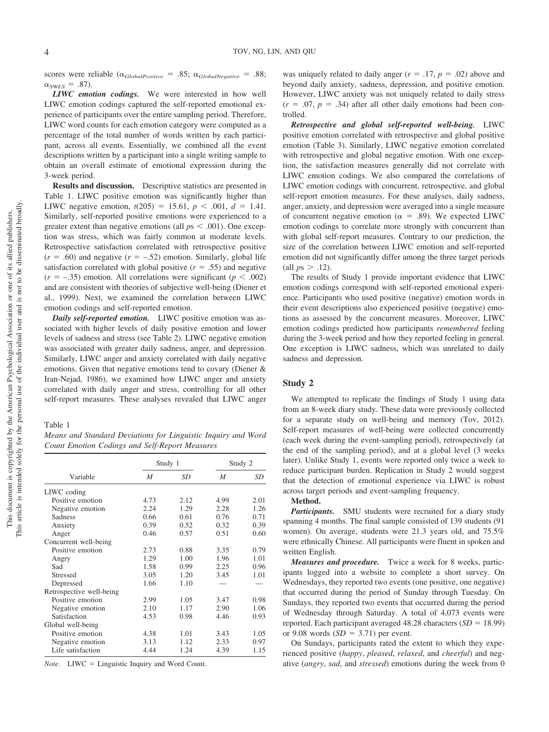scores were reliable ( $\alpha_{GlobalPositive} = .85$ ;  $\alpha_{GlobalNegative} = .88$ ;  $\alpha_{SWLS} = .87$ ).

*LIWC emotion codings.* We were interested in how well LIWC emotion codings captured the self-reported emotional experience of participants over the entire sampling period. Therefore, LIWC word counts for each emotion category were computed as a percentage of the total number of words written by each participant, across all events. Essentially, we combined all the event descriptions written by a participant into a single writing sample to obtain an overall estimate of emotional expression during the 3-week period.

**Results and discussion.** Descriptive statistics are presented in Table 1. LIWC positive emotion was significantly higher than LIWC negative emotion,  $t(205) = 15.61$ ,  $p < .001$ ,  $d = 1.41$ . Similarly, self-reported positive emotions were experienced to a greater extent than negative emotions (all  $ps < .001$ ). One exception was stress, which was fairly common at moderate levels. Retrospective satisfaction correlated with retrospective positive  $(r = .60)$  and negative  $(r = -.52)$  emotion. Similarly, global life satisfaction correlated with global positive  $(r = .55)$  and negative  $(r = -.35)$  emotion. All correlations were significant ( $p < .002$ ) and are consistent with theories of subjective well-being (Diener et al., 1999). Next, we examined the correlation between LIWC emotion codings and self-reported emotion.

*Daily self-reported emotion.* LIWC positive emotion was associated with higher levels of daily positive emotion and lower levels of sadness and stress (see Table 2). LIWC negative emotion was associated with greater daily sadness, anger, and depression. Similarly, LIWC anger and anxiety correlated with daily negative emotions. Given that negative emotions tend to covary (Diener & Iran-Nejad, 1986), we examined how LIWC anger and anxiety correlated with daily anger and stress, controlling for all other self-report measures. These analyses revealed that LIWC anger

#### Table 1

*Means and Standard Deviations for Linguistic Inquiry and Word Count Emotion Codings and Self-Report Measures*

|                          | Study 1 |      | Study 2 |      |
|--------------------------|---------|------|---------|------|
| Variable                 | M       | SD   | M       | SD   |
| LIWC coding              |         |      |         |      |
| Positive emotion         | 4.73    | 2.12 | 4.99    | 2.01 |
| Negative emotion         | 2.24    | 1.29 | 2.28    | 1.26 |
| Sadness                  | 0.66    | 0.61 | 0.76    | 0.71 |
| Anxiety                  | 0.39    | 0.52 | 0.32    | 0.39 |
| Anger                    | 0.46    | 0.57 | 0.51    | 0.60 |
| Concurrent well-being    |         |      |         |      |
| Positive emotion         | 2.73    | 0.88 | 3.35    | 0.79 |
| Angry                    | 1.29    | 1.00 | 1.96    | 1.01 |
| Sad                      | 1.58    | 0.99 | 2.25    | 0.96 |
| Stressed                 | 3.05    | 1.20 | 3.45    | 1.01 |
| Depressed                | 1.66    | 1.10 |         |      |
| Retrospective well-being |         |      |         |      |
| Positive emotion         | 2.99    | 1.05 | 3.47    | 0.98 |
| Negative emotion         | 2.10    | 1.17 | 2.90    | 1.06 |
| Satisfaction             | 4.53    | 0.98 | 4.46    | 0.93 |
| Global well-being        |         |      |         |      |
| Positive emotion         | 4.38    | 1.01 | 3.43    | 1.05 |
| Negative emotion         | 3.13    | 1.12 | 2.33    | 0.97 |
| Life satisfaction        | 4.44    | 1.24 | 4.39    | 1.15 |

*Note*. LIWC = Linguistic Inquiry and Word Count.

was uniquely related to daily anger  $(r = .17, p = .02)$  above and beyond daily anxiety, sadness, depression, and positive emotion. However, LIWC anxiety was not uniquely related to daily stress  $(r = .07, p = .34)$  after all other daily emotions had been controlled.

*Retrospective and global self-reported well-being.* LIWC positive emotion correlated with retrospective and global positive emotion (Table 3). Similarly, LIWC negative emotion correlated with retrospective and global negative emotion. With one exception, the satisfaction measures generally did not correlate with LIWC emotion codings. We also compared the correlations of LIWC emotion codings with concurrent, retrospective, and global self-report emotion measures. For these analyses, daily sadness, anger, anxiety, and depression were averaged into a single measure of concurrent negative emotion ( $\alpha = .89$ ). We expected LIWC emotion codings to correlate more strongly with concurrent than with global self-report measures. Contrary to our prediction, the size of the correlation between LIWC emotion and self-reported emotion did not significantly differ among the three target periods (all  $ps > .12$ ).

The results of Study 1 provide important evidence that LIWC emotion codings correspond with self-reported emotional experience. Participants who used positive (negative) emotion words in their event descriptions also experienced positive (negative) emotions as assessed by the concurrent measures. Moreover, LIWC emotion codings predicted how participants *remembered* feeling during the 3-week period and how they reported feeling in general. One exception is LIWC sadness, which was unrelated to daily sadness and depression.

#### **Study 2**

We attempted to replicate the findings of Study 1 using data from an 8-week diary study. These data were previously collected for a separate study on well-being and memory (Tov, 2012). Self-report measures of well-being were collected concurrently (each week during the event-sampling period), retrospectively (at the end of the sampling period), and at a global level (3 weeks later). Unlike Study 1, events were reported only twice a week to reduce participant burden. Replication in Study 2 would suggest that the detection of emotional experience via LIWC is robust across target periods and event-sampling frequency.

#### **Method.**

*Participants.* SMU students were recruited for a diary study spanning 4 months. The final sample consisted of 139 students (91 women). On average, students were 21.3 years old, and 75.5% were ethnically Chinese. All participants were fluent in spoken and written English.

*Measures and procedure.* Twice a week for 8 weeks, participants logged into a website to complete a short survey. On Wednesdays, they reported two events (one positive, one negative) that occurred during the period of Sunday through Tuesday. On Sundays, they reported two events that occurred during the period of Wednesday through Saturday. A total of 4,073 events were reported. Each participant averaged  $48.28$  characters  $(SD = 18.99)$ or 9.08 words  $(SD = 3.71)$  per event.

On Sundays, participants rated the extent to which they experienced positive (*happy*, *pleased*, *relaxed*, and *cheerful*) and negative (*angry*, *sad*, and *stressed*) emotions during the week from 0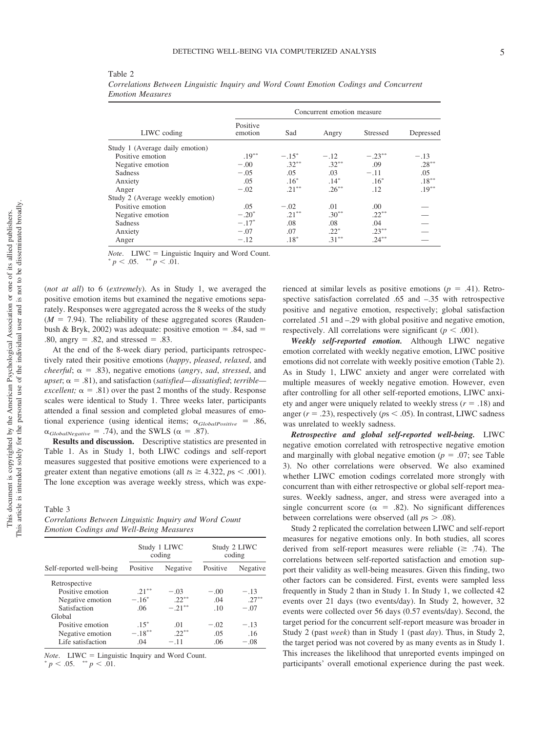|                                  | Concurrent emotion measure |          |          |                 |           |  |
|----------------------------------|----------------------------|----------|----------|-----------------|-----------|--|
| LIWC coding                      | Positive<br>emotion        | Sad      | Angry    | <b>Stressed</b> | Depressed |  |
| Study 1 (Average daily emotion)  |                            |          |          |                 |           |  |
| Positive emotion                 | $.19***$                   | $-.15^*$ | $-.12$   | $-.23***$       | $-.13$    |  |
| Negative emotion                 | $-.00$                     | $.32***$ | $.32***$ | .09             | $.28***$  |  |
| Sadness                          | $-.05$                     | .05      | .03      | $-.11$          | .05       |  |
| Anxiety                          | .05                        | $.16*$   | $.14*$   | $.16*$          | $.18***$  |  |
| Anger                            | $-.02$                     | $.21***$ | $.26***$ | .12             | $.19***$  |  |
| Study 2 (Average weekly emotion) |                            |          |          |                 |           |  |
| Positive emotion                 | .05                        | $-.02$   | .01      | .00             |           |  |
| Negative emotion                 | $-.20^*$                   | $.21***$ | $.30***$ | $.22***$        |           |  |
| Sadness                          | $-.17*$                    | .08      | .08      | .04             |           |  |
| Anxiety                          | $-.07$                     | .07      | $.22*$   | $.23***$        |           |  |
| Anger                            | $-.12$                     | $.18*$   | $.31***$ | $.24***$        |           |  |

Table 2 *Correlations Between Linguistic Inquiry and Word Count Emotion Codings and Concurrent Emotion Measures*

*Note.* LIWC = Linguistic Inquiry and Word Count.  $p < .05$ .  $p < .01$ .

(*not at all*) to 6 (*extremely*). As in Study 1, we averaged the positive emotion items but examined the negative emotions separately. Responses were aggregated across the 8 weeks of the study  $(M = 7.94)$ . The reliability of these aggregated scores (Raudenbush & Bryk, 2002) was adequate: positive emotion  $= .84$ , sad  $=$  $.80$ , angry =  $.82$ , and stressed =  $.83$ .

At the end of the 8-week diary period, participants retrospectively rated their positive emotions (*happy*, *pleased*, *relaxed*, and *cheerful*;  $\alpha = .83$ , negative emotions (*angry*, *sad*, *stressed*, and  $\mu$ *pset*;  $\alpha$  = .81), and satisfaction (*satisfied—dissatisfied*; *terrible excellent*;  $\alpha = .81$ ) over the past 2 months of the study. Response scales were identical to Study 1. Three weeks later, participants attended a final session and completed global measures of emotional experience (using identical items;  $\alpha_{GlobalPositive} = .86$ ,  $\alpha_{GlobalNegative} = .74$ ), and the SWLS ( $\alpha = .87$ ).

**Results and discussion.** Descriptive statistics are presented in Table 1. As in Study 1, both LIWC codings and self-report measures suggested that positive emotions were experienced to a greater extent than negative emotions (all  $t_s \ge 4.322$ ,  $ps < .001$ ). The lone exception was average weekly stress, which was expe-

#### Table 3

*Correlations Between Linguistic Inquiry and Word Count Emotion Codings and Well-Being Measures*

|                          |           | Study 1 LIWC<br>coding | Study 2 LIWC<br>coding |          |
|--------------------------|-----------|------------------------|------------------------|----------|
| Self-reported well-being | Positive  | Negative               | Positive               | Negative |
| Retrospective            |           |                        |                        |          |
| Positive emotion         | $.21***$  | $-.03$                 | $-.00$                 | $-.13$   |
| Negative emotion         | $-.16*$   | $.22***$               | .04                    | $.27***$ |
| Satisfaction             | .06       | $-.21***$              | .10                    | $-.07$   |
| Global                   |           |                        |                        |          |
| Positive emotion         | $.15*$    | .01                    | $-.02$                 | $-.13$   |
| Negative emotion         | $-.18***$ | $22^{**}$              | .05                    | .16      |
| Life satisfaction        | .04       | $-.11$                 | .06                    | $-.08$   |

*Note.* LIWC = Linguistic Inquiry and Word Count.  $p < .05$ .  $p < .01$ .

rienced at similar levels as positive emotions  $(p = .41)$ . Retrospective satisfaction correlated .65 and –.35 with retrospective positive and negative emotion, respectively; global satisfaction correlated .51 and –.29 with global positive and negative emotion, respectively. All correlations were significant ( $p < .001$ ).

*Weekly self-reported emotion.* Although LIWC negative emotion correlated with weekly negative emotion, LIWC positive emotions did not correlate with weekly positive emotion (Table 2). As in Study 1, LIWC anxiety and anger were correlated with multiple measures of weekly negative emotion. However, even after controlling for all other self-reported emotions, LIWC anxiety and anger were uniquely related to weekly stress  $(r = .18)$  and anger  $(r = .23)$ , respectively  $(ps < .05)$ . In contrast, LIWC sadness was unrelated to weekly sadness.

*Retrospective and global self-reported well-being.* LIWC negative emotion correlated with retrospective negative emotion and marginally with global negative emotion  $(p = .07)$ ; see Table 3). No other correlations were observed. We also examined whether LIWC emotion codings correlated more strongly with concurrent than with either retrospective or global self-report measures. Weekly sadness, anger, and stress were averaged into a single concurrent score ( $\alpha$  = .82). No significant differences between correlations were observed (all  $ps > .08$ ).

Study 2 replicated the correlation between LIWC and self-report measures for negative emotions only. In both studies, all scores derived from self-report measures were reliable ( $\geq$  .74). The correlations between self-reported satisfaction and emotion support their validity as well-being measures. Given this finding, two other factors can be considered. First, events were sampled less frequently in Study 2 than in Study 1. In Study 1, we collected 42 events over 21 days (two events/day). In Study 2, however, 32 events were collected over 56 days (0.57 events/day). Second, the target period for the concurrent self-report measure was broader in Study 2 (past *week*) than in Study 1 (past *day*). Thus, in Study 2, the target period was not covered by as many events as in Study 1. This increases the likelihood that unreported events impinged on participants' overall emotional experience during the past week.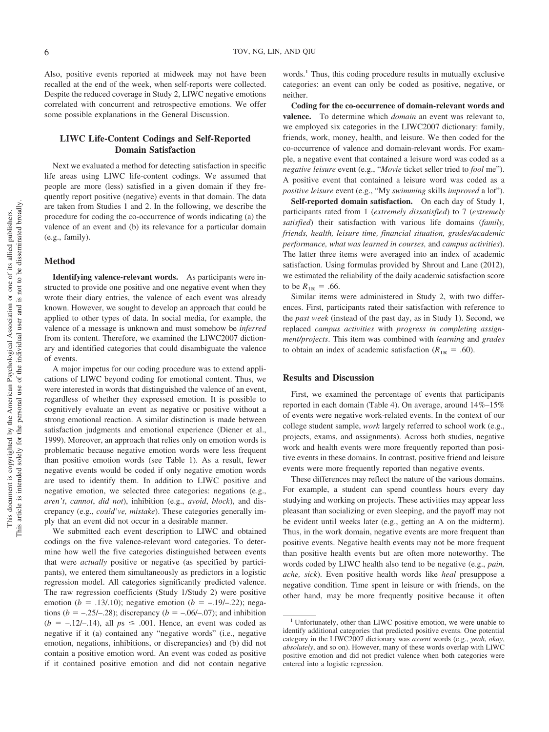Also, positive events reported at midweek may not have been recalled at the end of the week, when self-reports were collected. Despite the reduced coverage in Study 2, LIWC negative emotions correlated with concurrent and retrospective emotions. We offer some possible explanations in the General Discussion.

# **LIWC Life-Content Codings and Self-Reported Domain Satisfaction**

Next we evaluated a method for detecting satisfaction in specific life areas using LIWC life-content codings. We assumed that people are more (less) satisfied in a given domain if they frequently report positive (negative) events in that domain. The data are taken from Studies 1 and 2. In the following, we describe the procedure for coding the co-occurrence of words indicating (a) the valence of an event and (b) its relevance for a particular domain (e.g., family).

#### **Method**

**Identifying valence-relevant words.** As participants were instructed to provide one positive and one negative event when they wrote their diary entries, the valence of each event was already known. However, we sought to develop an approach that could be applied to other types of data. In social media, for example, the valence of a message is unknown and must somehow be *inferred* from its content. Therefore, we examined the LIWC2007 dictionary and identified categories that could disambiguate the valence of events.

A major impetus for our coding procedure was to extend applications of LIWC beyond coding for emotional content. Thus, we were interested in words that distinguished the valence of an event, regardless of whether they expressed emotion. It is possible to cognitively evaluate an event as negative or positive without a strong emotional reaction. A similar distinction is made between satisfaction judgments and emotional experience (Diener et al., 1999). Moreover, an approach that relies only on emotion words is problematic because negative emotion words were less frequent than positive emotion words (see Table 1). As a result, fewer negative events would be coded if only negative emotion words are used to identify them. In addition to LIWC positive and negative emotion, we selected three categories: negations (e.g., *aren't*, *cannot*, *did not*), inhibition (e.g., *avoid*, *block*), and discrepancy (e.g., *could've, mistake*). These categories generally imply that an event did not occur in a desirable manner.

We submitted each event description to LIWC and obtained codings on the five valence-relevant word categories. To determine how well the five categories distinguished between events that were *actually* positive or negative (as specified by participants), we entered them simultaneously as predictors in a logistic regression model. All categories significantly predicted valence. The raw regression coefficients (Study 1/Study 2) were positive emotion ( $b = .13/.10$ ); negative emotion ( $b = -.19/-.22$ ); negations ( $b = -.25/-.28$ ); discrepancy ( $b = -.06/-.07$ ); and inhibition  $(b = -0.12/-0.14)$ , all  $ps \le 0.001$ . Hence, an event was coded as negative if it (a) contained any "negative words" (i.e., negative emotion, negations, inhibitions, or discrepancies) and (b) did not contain a positive emotion word. An event was coded as positive if it contained positive emotion and did not contain negative

words.<sup>1</sup> Thus, this coding procedure results in mutually exclusive categories: an event can only be coded as positive, negative, or neither.

**Coding for the co-occurrence of domain-relevant words and valence.** To determine which *domain* an event was relevant to, we employed six categories in the LIWC2007 dictionary: family, friends, work, money, health, and leisure. We then coded for the co-occurrence of valence and domain-relevant words. For example, a negative event that contained a leisure word was coded as a *negative leisure* event (e.g., "*Movie* ticket seller tried to *fool* me"). A positive event that contained a leisure word was coded as a *positive leisure* event (e.g., "My *swimming* skills *improved* a lot").

**Self-reported domain satisfaction.** On each day of Study 1, participants rated from 1 (*extremely dissatisfied*) to 7 (*extremely satisfied*) their satisfaction with various life domains (*family, friends, health, leisure time, financial situation, grades/academic performance, what was learned in courses,* and *campus activities*). The latter three items were averaged into an index of academic satisfaction. Using formulas provided by Shrout and Lane (2012), we estimated the reliability of the daily academic satisfaction score to be  $R_{1R} = .66$ .

Similar items were administered in Study 2, with two differences. First, participants rated their satisfaction with reference to the *past week* (instead of the past day, as in Study 1). Second, we replaced *campus activities* with *progress in completing assignment/projects*. This item was combined with *learning* and *grades* to obtain an index of academic satisfaction  $(R_{1R} = .60)$ .

#### **Results and Discussion**

First, we examined the percentage of events that participants reported in each domain (Table 4). On average, around 14%–15% of events were negative work-related events. In the context of our college student sample, *work* largely referred to school work (e.g., projects, exams, and assignments). Across both studies, negative work and health events were more frequently reported than positive events in these domains. In contrast, positive friend and leisure events were more frequently reported than negative events.

These differences may reflect the nature of the various domains. For example, a student can spend countless hours every day studying and working on projects. These activities may appear less pleasant than socializing or even sleeping, and the payoff may not be evident until weeks later (e.g., getting an A on the midterm). Thus, in the work domain, negative events are more frequent than positive events. Negative health events may not be more frequent than positive health events but are often more noteworthy. The words coded by LIWC health also tend to be negative (e.g., *pain, ache, sick*). Even positive health words like *heal* presuppose a negative condition. Time spent in leisure or with friends, on the other hand, may be more frequently positive because it often

<sup>&</sup>lt;sup>1</sup> Unfortunately, other than LIWC positive emotion, we were unable to identify additional categories that predicted positive events. One potential category in the LIWC2007 dictionary was *assent* words (e.g., *yeah*, *okay*, *absolutely*, and so on). However, many of these words overlap with LIWC positive emotion and did not predict valence when both categories were entered into a logistic regression.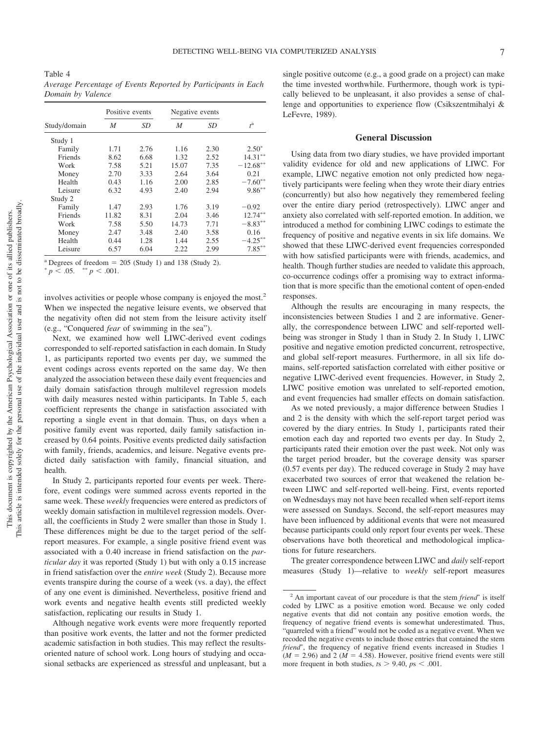|              |       | Positive events |       | Negative events |             |
|--------------|-------|-----------------|-------|-----------------|-------------|
| Study/domain | M     | SD              | M     | SD              | $t^{\rm a}$ |
| Study 1      |       |                 |       |                 |             |
| Family       | 1.71  | 2.76            | 1.16  | 2.30            | $2.50*$     |
| Friends      | 8.62  | 6.68            | 1.32  | 2.52            | $14.31***$  |
| Work         | 7.58  | 5.21            | 15.07 | 7.35            | $-12.68***$ |
| Money        | 2.70  | 3.33            | 2.64  | 3.64            | 0.21        |
| Health       | 0.43  | 1.16            | 2.00  | 2.85            | $-7.60**$   |
| Leisure      | 6.32  | 4.93            | 2.40  | 2.94            | $9.86***$   |
| Study 2      |       |                 |       |                 |             |
| Family       | 1.47  | 2.93            | 1.76  | 3.19            | $-0.92$     |
| Friends      | 11.82 | 8.31            | 2.04  | 3.46            | $12.74***$  |
| Work         | 7.58  | 5.50            | 14.73 | 7.71            | $-8.83**$   |
| Money        | 2.47  | 3.48            | 2.40  | 3.58            | 0.16        |
| Health       | 0.44  | 1.28            | 1.44  | 2.55            | $-4.25***$  |
| Leisure      | 6.57  | 6.04            | 2.22  | 2.99            | $7.85***$   |

<sup>&</sup>lt;sup>a</sup> Degrees of freedom = 205 (Study 1) and 138 (Study 2).  ${}^{*}p$  < .05.  ${}^{**}p$  < .001.

involves activities or people whose company is enjoyed the most.2 When we inspected the negative leisure events, we observed that the negativity often did not stem from the leisure activity itself (e.g., "Conquered *fear* of swimming in the sea").

Next, we examined how well LIWC-derived event codings corresponded to self-reported satisfaction in each domain. In Study 1, as participants reported two events per day, we summed the event codings across events reported on the same day. We then analyzed the association between these daily event frequencies and daily domain satisfaction through multilevel regression models with daily measures nested within participants. In Table 5, each coefficient represents the change in satisfaction associated with reporting a single event in that domain. Thus, on days when a positive family event was reported, daily family satisfaction increased by 0.64 points. Positive events predicted daily satisfaction with family, friends, academics, and leisure. Negative events predicted daily satisfaction with family, financial situation, and health.

In Study 2, participants reported four events per week. Therefore, event codings were summed across events reported in the same week. These *weekly* frequencies were entered as predictors of weekly domain satisfaction in multilevel regression models. Overall, the coefficients in Study 2 were smaller than those in Study 1. These differences might be due to the target period of the selfreport measures. For example, a single positive friend event was associated with a 0.40 increase in friend satisfaction on the *particular day* it was reported (Study 1) but with only a 0.15 increase in friend satisfaction over the *entire week* (Study 2). Because more events transpire during the course of a week (vs. a day), the effect of any one event is diminished. Nevertheless, positive friend and work events and negative health events still predicted weekly satisfaction, replicating our results in Study 1.

Although negative work events were more frequently reported than positive work events, the latter and not the former predicted academic satisfaction in both studies. This may reflect the resultsoriented nature of school work. Long hours of studying and occasional setbacks are experienced as stressful and unpleasant, but a single positive outcome (e.g., a good grade on a project) can make the time invested worthwhile. Furthermore, though work is typically believed to be unpleasant, it also provides a sense of challenge and opportunities to experience flow (Csikszentmihalyi & LeFevre, 1989).

## **General Discussion**

Using data from two diary studies, we have provided important validity evidence for old and new applications of LIWC. For example, LIWC negative emotion not only predicted how negatively participants were feeling when they wrote their diary entries (concurrently) but also how negatively they remembered feeling over the entire diary period (retrospectively). LIWC anger and anxiety also correlated with self-reported emotion. In addition, we introduced a method for combining LIWC codings to estimate the frequency of positive and negative events in six life domains. We showed that these LIWC-derived event frequencies corresponded with how satisfied participants were with friends, academics, and health. Though further studies are needed to validate this approach, co-occurrence codings offer a promising way to extract information that is more specific than the emotional content of open-ended responses.

Although the results are encouraging in many respects, the inconsistencies between Studies 1 and 2 are informative. Generally, the correspondence between LIWC and self-reported wellbeing was stronger in Study 1 than in Study 2. In Study 1, LIWC positive and negative emotion predicted concurrent, retrospective, and global self-report measures. Furthermore, in all six life domains, self-reported satisfaction correlated with either positive or negative LIWC-derived event frequencies. However, in Study 2, LIWC positive emotion was unrelated to self-reported emotion, and event frequencies had smaller effects on domain satisfaction.

As we noted previously, a major difference between Studies 1 and 2 is the density with which the self-report target period was covered by the diary entries. In Study 1, participants rated their emotion each day and reported two events per day. In Study 2, participants rated their emotion over the past week. Not only was the target period broader, but the coverage density was sparser (0.57 events per day). The reduced coverage in Study 2 may have exacerbated two sources of error that weakened the relation between LIWC and self-reported well-being. First, events reported on Wednesdays may not have been recalled when self-report items were assessed on Sundays. Second, the self-report measures may have been influenced by additional events that were not measured because participants could only report four events per week. These observations have both theoretical and methodological implications for future researchers.

The greater correspondence between LIWC and *daily* self-report measures (Study 1)—relative to *weekly* self-report measures

 $2$  An important caveat of our procedure is that the stem *friend*<sup>\*</sup> is itself coded by LIWC as a positive emotion word. Because we only coded negative events that did not contain any positive emotion words, the frequency of negative friend events is somewhat underestimated. Thus, "quarreled with a friend" would not be coded as a negative event. When we recoded the negative events to include those entries that contained the stem *friend* , the frequency of negative friend events increased in Studies 1  $(M = 2.96)$  and 2  $(M = 4.58)$ . However, positive friend events were still more frequent in both studies,  $ts > 9.40$ ,  $ps < .001$ .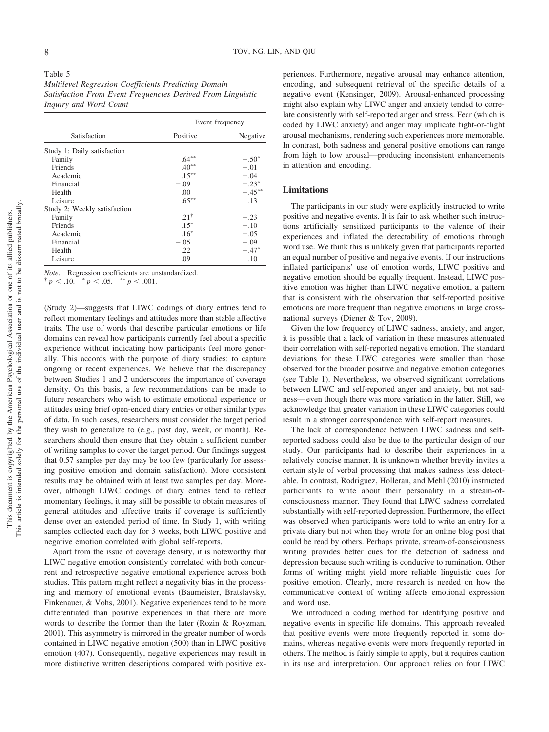Table 5

| Multilevel Regression Coefficients Predicting Domain        |
|-------------------------------------------------------------|
| Satisfaction From Event Frequencies Derived From Linguistic |
| Inquiry and Word Count                                      |
|                                                             |

|                              | Event frequency |                    |  |
|------------------------------|-----------------|--------------------|--|
| Satisfaction                 | Positive        | Negative           |  |
| Study 1: Daily satisfaction  |                 |                    |  |
| Family                       | $.64***$        | $-.50^*$           |  |
| Friends                      | $.40***$        | $-.01$             |  |
| Academic                     | $.15***$        | $-.04$             |  |
| Financial                    | $-.09$          | $-23$ <sup>*</sup> |  |
| Health                       | .00.            | $-.45***$          |  |
| Leisure                      | $.65***$        | .13                |  |
| Study 2: Weekly satisfaction |                 |                    |  |
| Family                       | $.21^{\dagger}$ | $-.23$             |  |
| Friends                      | $.15*$          | $-.10$             |  |
| Academic                     | $.16*$          | $-.05$             |  |
| Financial                    | $-.05$          | $-.09$             |  |
| Health                       | .22             | $-.47*$            |  |
| Leisure                      | .09             | .10                |  |

*Note.* Regression coefficients are unstandardized.  $\frac{p}{p}$  < .10.  $\frac{p}{p}$  < .05.  $\frac{p}{p}$  < .001.

(Study 2)—suggests that LIWC codings of diary entries tend to reflect momentary feelings and attitudes more than stable affective traits. The use of words that describe particular emotions or life domains can reveal how participants currently feel about a specific experience without indicating how participants feel more generally. This accords with the purpose of diary studies: to capture ongoing or recent experiences. We believe that the discrepancy between Studies 1 and 2 underscores the importance of coverage density. On this basis, a few recommendations can be made to future researchers who wish to estimate emotional experience or attitudes using brief open-ended diary entries or other similar types of data. In such cases, researchers must consider the target period they wish to generalize to (e.g., past day, week, or month). Researchers should then ensure that they obtain a sufficient number of writing samples to cover the target period. Our findings suggest that 0.57 samples per day may be too few (particularly for assessing positive emotion and domain satisfaction). More consistent results may be obtained with at least two samples per day. Moreover, although LIWC codings of diary entries tend to reflect momentary feelings, it may still be possible to obtain measures of general attitudes and affective traits if coverage is sufficiently dense over an extended period of time. In Study 1, with writing samples collected each day for 3 weeks, both LIWC positive and negative emotion correlated with global self-reports.

Apart from the issue of coverage density, it is noteworthy that LIWC negative emotion consistently correlated with both concurrent and retrospective negative emotional experience across both studies. This pattern might reflect a negativity bias in the processing and memory of emotional events (Baumeister, Bratslavsky, Finkenauer, & Vohs, 2001). Negative experiences tend to be more differentiated than positive experiences in that there are more words to describe the former than the later (Rozin & Royzman, 2001). This asymmetry is mirrored in the greater number of words contained in LIWC negative emotion (500) than in LIWC positive emotion (407). Consequently, negative experiences may result in more distinctive written descriptions compared with positive experiences. Furthermore, negative arousal may enhance attention, encoding, and subsequent retrieval of the specific details of a negative event (Kensinger, 2009). Arousal-enhanced processing might also explain why LIWC anger and anxiety tended to correlate consistently with self-reported anger and stress. Fear (which is coded by LIWC anxiety) and anger may implicate fight-or-flight arousal mechanisms, rendering such experiences more memorable. In contrast, both sadness and general positive emotions can range from high to low arousal—producing inconsistent enhancements in attention and encoding.

#### **Limitations**

The participants in our study were explicitly instructed to write positive and negative events. It is fair to ask whether such instructions artificially sensitized participants to the valence of their experiences and inflated the detectability of emotions through word use. We think this is unlikely given that participants reported an equal number of positive and negative events. If our instructions inflated participants' use of emotion words, LIWC positive and negative emotion should be equally frequent. Instead, LIWC positive emotion was higher than LIWC negative emotion, a pattern that is consistent with the observation that self-reported positive emotions are more frequent than negative emotions in large crossnational surveys (Diener & Tov, 2009).

Given the low frequency of LIWC sadness, anxiety, and anger, it is possible that a lack of variation in these measures attenuated their correlation with self-reported negative emotion. The standard deviations for these LIWC categories were smaller than those observed for the broader positive and negative emotion categories (see Table 1). Nevertheless, we observed significant correlations between LIWC and self-reported anger and anxiety, but not sadness— even though there was more variation in the latter. Still, we acknowledge that greater variation in these LIWC categories could result in a stronger correspondence with self-report measures.

The lack of correspondence between LIWC sadness and selfreported sadness could also be due to the particular design of our study. Our participants had to describe their experiences in a relatively concise manner. It is unknown whether brevity invites a certain style of verbal processing that makes sadness less detectable. In contrast, Rodriguez, Holleran, and Mehl (2010) instructed participants to write about their personality in a stream-ofconsciousness manner. They found that LIWC sadness correlated substantially with self-reported depression. Furthermore, the effect was observed when participants were told to write an entry for a private diary but not when they wrote for an online blog post that could be read by others. Perhaps private, stream-of-consciousness writing provides better cues for the detection of sadness and depression because such writing is conducive to rumination. Other forms of writing might yield more reliable linguistic cues for positive emotion. Clearly, more research is needed on how the communicative context of writing affects emotional expression and word use.

We introduced a coding method for identifying positive and negative events in specific life domains. This approach revealed that positive events were more frequently reported in some domains, whereas negative events were more frequently reported in others. The method is fairly simple to apply, but it requires caution in its use and interpretation. Our approach relies on four LIWC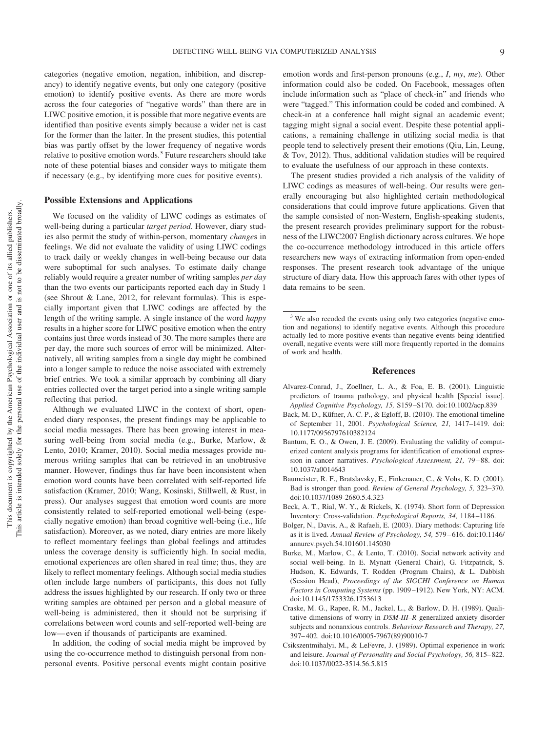categories (negative emotion, negation, inhibition, and discrepancy) to identify negative events, but only one category (positive emotion) to identify positive events. As there are more words across the four categories of "negative words" than there are in LIWC positive emotion, it is possible that more negative events are identified than positive events simply because a wider net is cast for the former than the latter. In the present studies, this potential bias was partly offset by the lower frequency of negative words relative to positive emotion words.<sup>3</sup> Future researchers should take note of these potential biases and consider ways to mitigate them if necessary (e.g., by identifying more cues for positive events).

### **Possible Extensions and Applications**

We focused on the validity of LIWC codings as estimates of well-being during a particular *target period*. However, diary studies also permit the study of within-person, momentary *change*s in feelings. We did not evaluate the validity of using LIWC codings to track daily or weekly changes in well-being because our data were suboptimal for such analyses. To estimate daily change reliably would require a greater number of writing samples *per day* than the two events our participants reported each day in Study 1 (see Shrout & Lane, 2012, for relevant formulas). This is especially important given that LIWC codings are affected by the length of the writing sample. A single instance of the word *happy* results in a higher score for LIWC positive emotion when the entry contains just three words instead of 30. The more samples there are per day, the more such sources of error will be minimized. Alternatively, all writing samples from a single day might be combined into a longer sample to reduce the noise associated with extremely brief entries. We took a similar approach by combining all diary entries collected over the target period into a single writing sample reflecting that period.

Although we evaluated LIWC in the context of short, openended diary responses, the present findings may be applicable to social media messages. There has been growing interest in measuring well-being from social media (e.g., Burke, Marlow, & Lento, 2010; Kramer, 2010). Social media messages provide numerous writing samples that can be retrieved in an unobtrusive manner. However, findings thus far have been inconsistent when emotion word counts have been correlated with self-reported life satisfaction (Kramer, 2010; Wang, Kosinski, Stillwell, & Rust, in press). Our analyses suggest that emotion word counts are more consistently related to self-reported emotional well-being (especially negative emotion) than broad cognitive well-being (i.e., life satisfaction). Moreover, as we noted, diary entries are more likely to reflect momentary feelings than global feelings and attitudes unless the coverage density is sufficiently high. In social media, emotional experiences are often shared in real time; thus, they are likely to reflect momentary feelings. Although social media studies often include large numbers of participants, this does not fully address the issues highlighted by our research. If only two or three writing samples are obtained per person and a global measure of well-being is administered, then it should not be surprising if correlations between word counts and self-reported well-being are low— even if thousands of participants are examined.

In addition, the coding of social media might be improved by using the co-occurrence method to distinguish personal from nonpersonal events. Positive personal events might contain positive

emotion words and first-person pronouns (e.g., *I*, *my*, *me*). Other information could also be coded. On Facebook, messages often include information such as "place of check-in" and friends who were "tagged." This information could be coded and combined. A check-in at a conference hall might signal an academic event; tagging might signal a social event. Despite these potential applications, a remaining challenge in utilizing social media is that people tend to selectively present their emotions (Qiu, Lin, Leung, & Tov, 2012). Thus, additional validation studies will be required to evaluate the usefulness of our approach in these contexts.

The present studies provided a rich analysis of the validity of LIWC codings as measures of well-being. Our results were generally encouraging but also highlighted certain methodological considerations that could improve future applications. Given that the sample consisted of non-Western, English-speaking students, the present research provides preliminary support for the robustness of the LIWC2007 English dictionary across cultures. We hope the co-occurrence methodology introduced in this article offers researchers new ways of extracting information from open-ended responses. The present research took advantage of the unique structure of diary data. How this approach fares with other types of data remains to be seen.

<sup>3</sup> We also recoded the events using only two categories (negative emotion and negations) to identify negative events. Although this procedure actually led to more positive events than negative events being identified overall, negative events were still more frequently reported in the domains of work and health.

#### **References**

- Alvarez-Conrad, J., Zoellner, L. A., & Foa, E. B. (2001). Linguistic predictors of trauma pathology, and physical health [Special issue]. *Applied Cognitive Psychology, 15,* S159 –S170. doi:10.1002/acp.839
- Back, M. D., Küfner, A. C. P., & Egloff, B. (2010). The emotional timeline of September 11, 2001. *Psychological Science, 21,* 1417–1419. doi: 10.1177/0956797610382124
- Bantum, E. O., & Owen, J. E. (2009). Evaluating the validity of computerized content analysis programs for identification of emotional expression in cancer narratives. *Psychological Assessment*, 21, 79-88. doi: 10.1037/a0014643
- Baumeister, R. F., Bratslavsky, E., Finkenauer, C., & Vohs, K. D. (2001). Bad is stronger than good. *Review of General Psychology, 5,* 323–370. doi:10.1037/1089-2680.5.4.323
- Beck, A. T., Rial, W. Y., & Rickels, K. (1974). Short form of Depression Inventory: Cross-validation. *Psychological Reports, 34,* 1184 –1186.
- Bolger, N., Davis, A., & Rafaeli, E. (2003). Diary methods: Capturing life as it is lived. *Annual Review of Psychology, 54,* 579 – 616. doi:10.1146/ annurev.psych.54.101601.145030
- Burke, M., Marlow, C., & Lento, T. (2010). Social network activity and social well-being. In E. Mynatt (General Chair), G. Fitzpatrick, S. Hudson, K. Edwards, T. Rodden (Program Chairs), & L. Dabbish (Session Head), *Proceedings of the SIGCHI Conference on Human Factors in Computing Systems* (pp. 1909 –1912). New York, NY: ACM. doi:10.1145/1753326.1753613
- Craske, M. G., Rapee, R. M., Jackel, L., & Barlow, D. H. (1989). Qualitative dimensions of worry in *DSM-III–R* generalized anxiety disorder subjects and nonanxious controls. *Behaviour Research and Therapy, 27,* 397– 402. doi:10.1016/0005-7967(89)90010-7
- Csikszentmihalyi, M., & LeFevre, J. (1989). Optimal experience in work and leisure. *Journal of Personality and Social Psychology, 56,* 815– 822. doi:10.1037/0022-3514.56.5.815